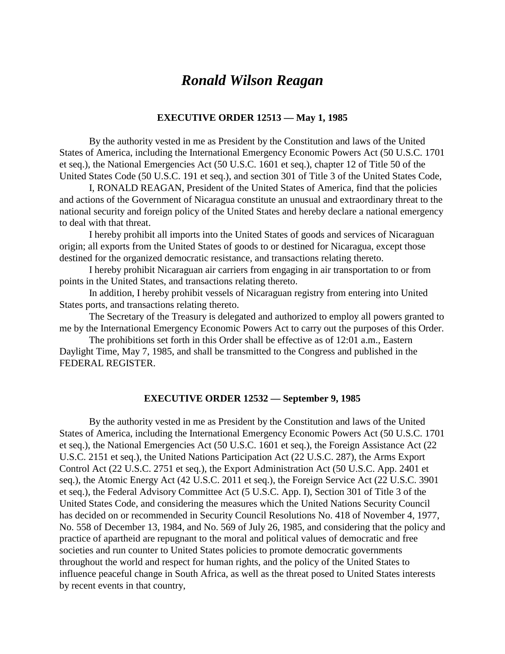# *Ronald Wilson Reagan*

### **EXECUTIVE ORDER 12513 — May 1, 1985**

By the authority vested in me as President by the Constitution and laws of the United States of America, including the International Emergency Economic Powers Act (50 U.S.C. 1701 et seq.), the National Emergencies Act (50 U.S.C. 1601 et seq.), chapter 12 of Title 50 of the United States Code (50 U.S.C. 191 et seq.), and section 301 of Title 3 of the United States Code,

I, RONALD REAGAN, President of the United States of America, find that the policies and actions of the Government of Nicaragua constitute an unusual and extraordinary threat to the national security and foreign policy of the United States and hereby declare a national emergency to deal with that threat.

I hereby prohibit all imports into the United States of goods and services of Nicaraguan origin; all exports from the United States of goods to or destined for Nicaragua, except those destined for the organized democratic resistance, and transactions relating thereto.

I hereby prohibit Nicaraguan air carriers from engaging in air transportation to or from points in the United States, and transactions relating thereto.

In addition, I hereby prohibit vessels of Nicaraguan registry from entering into United States ports, and transactions relating thereto.

The Secretary of the Treasury is delegated and authorized to employ all powers granted to me by the International Emergency Economic Powers Act to carry out the purposes of this Order.

The prohibitions set forth in this Order shall be effective as of 12:01 a.m., Eastern Daylight Time, May 7, 1985, and shall be transmitted to the Congress and published in the FEDERAL REGISTER.

#### **EXECUTIVE ORDER 12532 — September 9, 1985**

By the authority vested in me as President by the Constitution and laws of the United States of America, including the International Emergency Economic Powers Act (50 U.S.C. 1701 et seq.), the National Emergencies Act (50 U.S.C. 1601 et seq.), the Foreign Assistance Act (22 U.S.C. 2151 et seq.), the United Nations Participation Act (22 U.S.C. 287), the Arms Export Control Act (22 U.S.C. 2751 et seq.), the Export Administration Act (50 U.S.C. App. 2401 et seq.), the Atomic Energy Act (42 U.S.C. 2011 et seq.), the Foreign Service Act (22 U.S.C. 3901 et seq.), the Federal Advisory Committee Act (5 U.S.C. App. I), Section 301 of Title 3 of the United States Code, and considering the measures which the United Nations Security Council has decided on or recommended in Security Council Resolutions No. 418 of November 4, 1977, No. 558 of December 13, 1984, and No. 569 of July 26, 1985, and considering that the policy and practice of apartheid are repugnant to the moral and political values of democratic and free societies and run counter to United States policies to promote democratic governments throughout the world and respect for human rights, and the policy of the United States to influence peaceful change in South Africa, as well as the threat posed to United States interests by recent events in that country,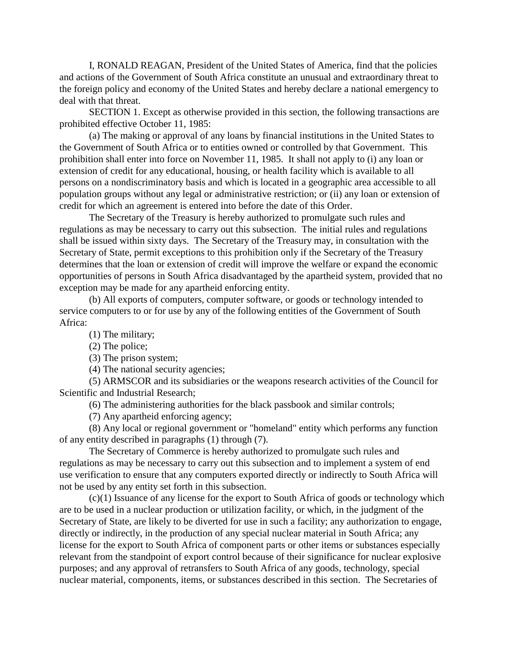I, RONALD REAGAN, President of the United States of America, find that the policies and actions of the Government of South Africa constitute an unusual and extraordinary threat to the foreign policy and economy of the United States and hereby declare a national emergency to deal with that threat.

SECTION 1. Except as otherwise provided in this section, the following transactions are prohibited effective October 11, 1985:

(a) The making or approval of any loans by financial institutions in the United States to the Government of South Africa or to entities owned or controlled by that Government. This prohibition shall enter into force on November 11, 1985. It shall not apply to (i) any loan or extension of credit for any educational, housing, or health facility which is available to all persons on a nondiscriminatory basis and which is located in a geographic area accessible to all population groups without any legal or administrative restriction; or (ii) any loan or extension of credit for which an agreement is entered into before the date of this Order.

The Secretary of the Treasury is hereby authorized to promulgate such rules and regulations as may be necessary to carry out this subsection. The initial rules and regulations shall be issued within sixty days. The Secretary of the Treasury may, in consultation with the Secretary of State, permit exceptions to this prohibition only if the Secretary of the Treasury determines that the loan or extension of credit will improve the welfare or expand the economic opportunities of persons in South Africa disadvantaged by the apartheid system, provided that no exception may be made for any apartheid enforcing entity.

(b) All exports of computers, computer software, or goods or technology intended to service computers to or for use by any of the following entities of the Government of South Africa:

(1) The military;

(2) The police;

(3) The prison system;

(4) The national security agencies;

(5) ARMSCOR and its subsidiaries or the weapons research activities of the Council for Scientific and Industrial Research;

(6) The administering authorities for the black passbook and similar controls;

(7) Any apartheid enforcing agency;

(8) Any local or regional government or "homeland" entity which performs any function of any entity described in paragraphs (1) through (7).

The Secretary of Commerce is hereby authorized to promulgate such rules and regulations as may be necessary to carry out this subsection and to implement a system of end use verification to ensure that any computers exported directly or indirectly to South Africa will not be used by any entity set forth in this subsection.

(c)(1) Issuance of any license for the export to South Africa of goods or technology which are to be used in a nuclear production or utilization facility, or which, in the judgment of the Secretary of State, are likely to be diverted for use in such a facility; any authorization to engage, directly or indirectly, in the production of any special nuclear material in South Africa; any license for the export to South Africa of component parts or other items or substances especially relevant from the standpoint of export control because of their significance for nuclear explosive purposes; and any approval of retransfers to South Africa of any goods, technology, special nuclear material, components, items, or substances described in this section. The Secretaries of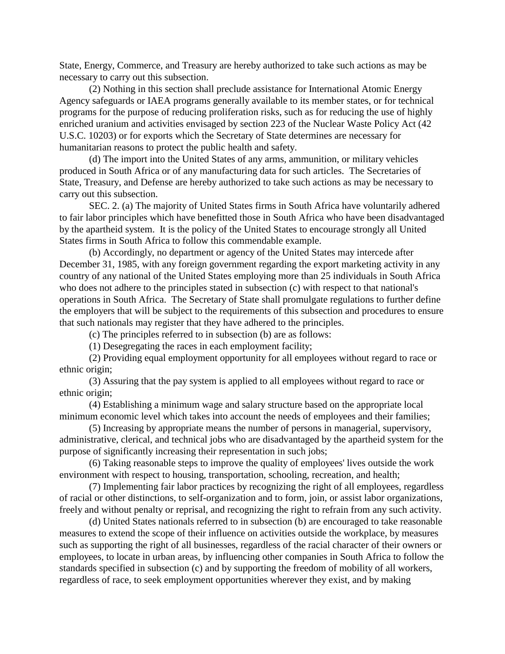State, Energy, Commerce, and Treasury are hereby authorized to take such actions as may be necessary to carry out this subsection.

(2) Nothing in this section shall preclude assistance for International Atomic Energy Agency safeguards or IAEA programs generally available to its member states, or for technical programs for the purpose of reducing proliferation risks, such as for reducing the use of highly enriched uranium and activities envisaged by section 223 of the Nuclear Waste Policy Act (42 U.S.C. 10203) or for exports which the Secretary of State determines are necessary for humanitarian reasons to protect the public health and safety.

(d) The import into the United States of any arms, ammunition, or military vehicles produced in South Africa or of any manufacturing data for such articles. The Secretaries of State, Treasury, and Defense are hereby authorized to take such actions as may be necessary to carry out this subsection.

SEC. 2. (a) The majority of United States firms in South Africa have voluntarily adhered to fair labor principles which have benefitted those in South Africa who have been disadvantaged by the apartheid system. It is the policy of the United States to encourage strongly all United States firms in South Africa to follow this commendable example.

(b) Accordingly, no department or agency of the United States may intercede after December 31, 1985, with any foreign government regarding the export marketing activity in any country of any national of the United States employing more than 25 individuals in South Africa who does not adhere to the principles stated in subsection (c) with respect to that national's operations in South Africa. The Secretary of State shall promulgate regulations to further define the employers that will be subject to the requirements of this subsection and procedures to ensure that such nationals may register that they have adhered to the principles.

(c) The principles referred to in subsection (b) are as follows:

(1) Desegregating the races in each employment facility;

(2) Providing equal employment opportunity for all employees without regard to race or ethnic origin;

(3) Assuring that the pay system is applied to all employees without regard to race or ethnic origin;

(4) Establishing a minimum wage and salary structure based on the appropriate local minimum economic level which takes into account the needs of employees and their families;

(5) Increasing by appropriate means the number of persons in managerial, supervisory, administrative, clerical, and technical jobs who are disadvantaged by the apartheid system for the purpose of significantly increasing their representation in such jobs;

(6) Taking reasonable steps to improve the quality of employees' lives outside the work environment with respect to housing, transportation, schooling, recreation, and health;

(7) Implementing fair labor practices by recognizing the right of all employees, regardless of racial or other distinctions, to self-organization and to form, join, or assist labor organizations, freely and without penalty or reprisal, and recognizing the right to refrain from any such activity.

(d) United States nationals referred to in subsection (b) are encouraged to take reasonable measures to extend the scope of their influence on activities outside the workplace, by measures such as supporting the right of all businesses, regardless of the racial character of their owners or employees, to locate in urban areas, by influencing other companies in South Africa to follow the standards specified in subsection (c) and by supporting the freedom of mobility of all workers, regardless of race, to seek employment opportunities wherever they exist, and by making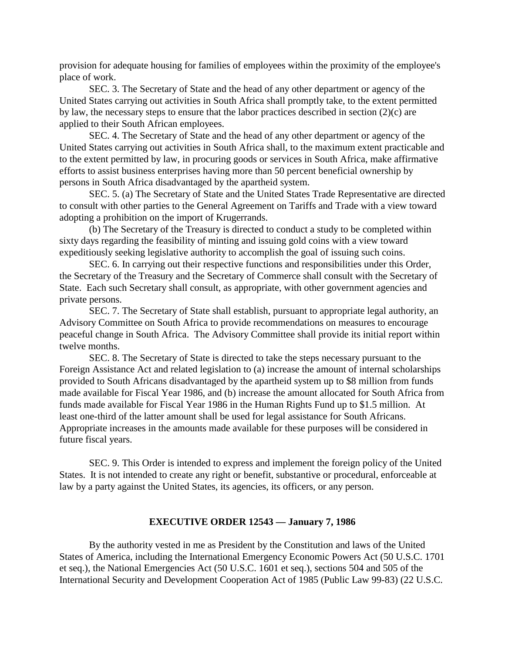provision for adequate housing for families of employees within the proximity of the employee's place of work.

SEC. 3. The Secretary of State and the head of any other department or agency of the United States carrying out activities in South Africa shall promptly take, to the extent permitted by law, the necessary steps to ensure that the labor practices described in section (2)(c) are applied to their South African employees.

SEC. 4. The Secretary of State and the head of any other department or agency of the United States carrying out activities in South Africa shall, to the maximum extent practicable and to the extent permitted by law, in procuring goods or services in South Africa, make affirmative efforts to assist business enterprises having more than 50 percent beneficial ownership by persons in South Africa disadvantaged by the apartheid system.

SEC. 5. (a) The Secretary of State and the United States Trade Representative are directed to consult with other parties to the General Agreement on Tariffs and Trade with a view toward adopting a prohibition on the import of Krugerrands.

(b) The Secretary of the Treasury is directed to conduct a study to be completed within sixty days regarding the feasibility of minting and issuing gold coins with a view toward expeditiously seeking legislative authority to accomplish the goal of issuing such coins.

SEC. 6. In carrying out their respective functions and responsibilities under this Order, the Secretary of the Treasury and the Secretary of Commerce shall consult with the Secretary of State. Each such Secretary shall consult, as appropriate, with other government agencies and private persons.

SEC. 7. The Secretary of State shall establish, pursuant to appropriate legal authority, an Advisory Committee on South Africa to provide recommendations on measures to encourage peaceful change in South Africa. The Advisory Committee shall provide its initial report within twelve months.

SEC. 8. The Secretary of State is directed to take the steps necessary pursuant to the Foreign Assistance Act and related legislation to (a) increase the amount of internal scholarships provided to South Africans disadvantaged by the apartheid system up to \$8 million from funds made available for Fiscal Year 1986, and (b) increase the amount allocated for South Africa from funds made available for Fiscal Year 1986 in the Human Rights Fund up to \$1.5 million. At least one-third of the latter amount shall be used for legal assistance for South Africans. Appropriate increases in the amounts made available for these purposes will be considered in future fiscal years.

SEC. 9. This Order is intended to express and implement the foreign policy of the United States. It is not intended to create any right or benefit, substantive or procedural, enforceable at law by a party against the United States, its agencies, its officers, or any person.

## **EXECUTIVE ORDER 12543 — January 7, 1986**

By the authority vested in me as President by the Constitution and laws of the United States of America, including the International Emergency Economic Powers Act (50 U.S.C. 1701 et seq.), the National Emergencies Act (50 U.S.C. 1601 et seq.), sections 504 and 505 of the International Security and Development Cooperation Act of 1985 (Public Law 99-83) (22 U.S.C.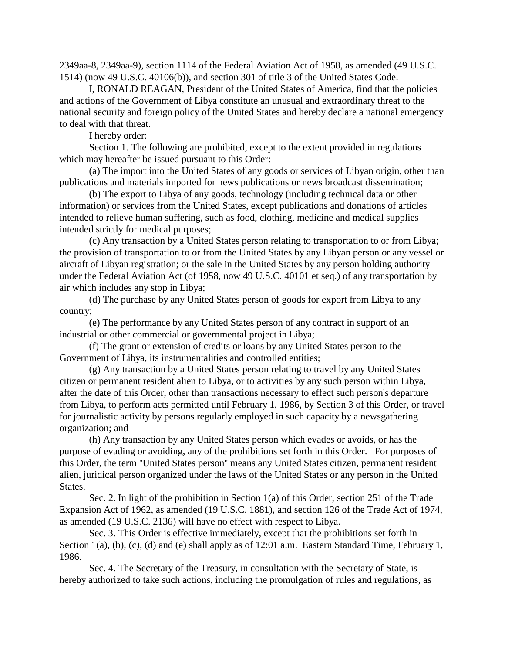2349aa-8, 2349aa-9), section 1114 of the Federal Aviation Act of 1958, as amended (49 U.S.C. 1514) (now 49 U.S.C. 40106(b)), and section 301 of title 3 of the United States Code.

I, RONALD REAGAN, President of the United States of America, find that the policies and actions of the Government of Libya constitute an unusual and extraordinary threat to the national security and foreign policy of the United States and hereby declare a national emergency to deal with that threat.

I hereby order:

Section 1. The following are prohibited, except to the extent provided in regulations which may hereafter be issued pursuant to this Order:

(a) The import into the United States of any goods or services of Libyan origin, other than publications and materials imported for news publications or news broadcast dissemination;

(b) The export to Libya of any goods, technology (including technical data or other information) or services from the United States, except publications and donations of articles intended to relieve human suffering, such as food, clothing, medicine and medical supplies intended strictly for medical purposes;

(c) Any transaction by a United States person relating to transportation to or from Libya; the provision of transportation to or from the United States by any Libyan person or any vessel or aircraft of Libyan registration; or the sale in the United States by any person holding authority under the Federal Aviation Act (of 1958, now 49 U.S.C. 40101 et seq.) of any transportation by air which includes any stop in Libya;

(d) The purchase by any United States person of goods for export from Libya to any country;

(e) The performance by any United States person of any contract in support of an industrial or other commercial or governmental project in Libya;

(f) The grant or extension of credits or loans by any United States person to the Government of Libya, its instrumentalities and controlled entities;

(g) Any transaction by a United States person relating to travel by any United States citizen or permanent resident alien to Libya, or to activities by any such person within Libya, after the date of this Order, other than transactions necessary to effect such person's departure from Libya, to perform acts permitted until February 1, 1986, by Section 3 of this Order, or travel for journalistic activity by persons regularly employed in such capacity by a newsgathering organization; and

(h) Any transaction by any United States person which evades or avoids, or has the purpose of evading or avoiding, any of the prohibitions set forth in this Order. For purposes of this Order, the term ''United States person'' means any United States citizen, permanent resident alien, juridical person organized under the laws of the United States or any person in the United States.

Sec. 2. In light of the prohibition in Section 1(a) of this Order, section 251 of the Trade Expansion Act of 1962, as amended (19 U.S.C. 1881), and section 126 of the Trade Act of 1974, as amended (19 U.S.C. 2136) will have no effect with respect to Libya.

Sec. 3. This Order is effective immediately, except that the prohibitions set forth in Section 1(a), (b), (c), (d) and (e) shall apply as of 12:01 a.m. Eastern Standard Time, February 1, 1986.

Sec. 4. The Secretary of the Treasury, in consultation with the Secretary of State, is hereby authorized to take such actions, including the promulgation of rules and regulations, as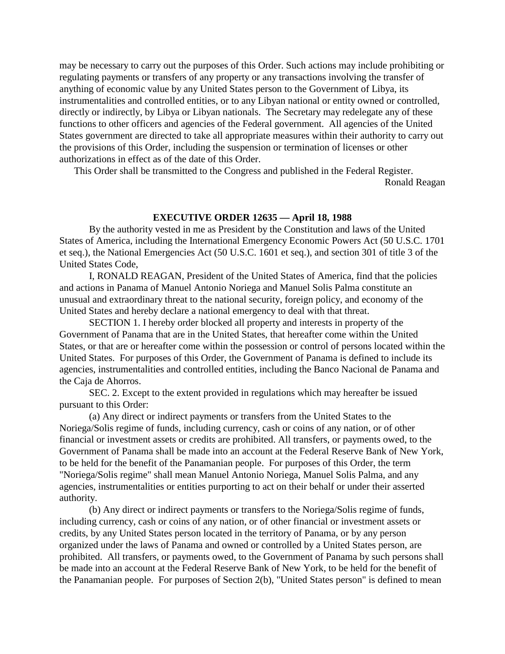may be necessary to carry out the purposes of this Order. Such actions may include prohibiting or regulating payments or transfers of any property or any transactions involving the transfer of anything of economic value by any United States person to the Government of Libya, its instrumentalities and controlled entities, or to any Libyan national or entity owned or controlled, directly or indirectly, by Libya or Libyan nationals. The Secretary may redelegate any of these functions to other officers and agencies of the Federal government. All agencies of the United States government are directed to take all appropriate measures within their authority to carry out the provisions of this Order, including the suspension or termination of licenses or other authorizations in effect as of the date of this Order.

This Order shall be transmitted to the Congress and published in the Federal Register. Ronald Reagan

## **EXECUTIVE ORDER 12635 — April 18, 1988**

By the authority vested in me as President by the Constitution and laws of the United States of America, including the International Emergency Economic Powers Act (50 U.S.C. 1701 et seq.), the National Emergencies Act (50 U.S.C. 1601 et seq.), and section 301 of title 3 of the United States Code,

I, RONALD REAGAN, President of the United States of America, find that the policies and actions in Panama of Manuel Antonio Noriega and Manuel Solis Palma constitute an unusual and extraordinary threat to the national security, foreign policy, and economy of the United States and hereby declare a national emergency to deal with that threat.

SECTION 1. I hereby order blocked all property and interests in property of the Government of Panama that are in the United States, that hereafter come within the United States, or that are or hereafter come within the possession or control of persons located within the United States. For purposes of this Order, the Government of Panama is defined to include its agencies, instrumentalities and controlled entities, including the Banco Nacional de Panama and the Caja de Ahorros.

SEC. 2. Except to the extent provided in regulations which may hereafter be issued pursuant to this Order:

(a) Any direct or indirect payments or transfers from the United States to the Noriega/Solis regime of funds, including currency, cash or coins of any nation, or of other financial or investment assets or credits are prohibited. All transfers, or payments owed, to the Government of Panama shall be made into an account at the Federal Reserve Bank of New York, to be held for the benefit of the Panamanian people. For purposes of this Order, the term "Noriega/Solis regime" shall mean Manuel Antonio Noriega, Manuel Solis Palma, and any agencies, instrumentalities or entities purporting to act on their behalf or under their asserted authority.

(b) Any direct or indirect payments or transfers to the Noriega/Solis regime of funds, including currency, cash or coins of any nation, or of other financial or investment assets or credits, by any United States person located in the territory of Panama, or by any person organized under the laws of Panama and owned or controlled by a United States person, are prohibited. All transfers, or payments owed, to the Government of Panama by such persons shall be made into an account at the Federal Reserve Bank of New York, to be held for the benefit of the Panamanian people. For purposes of Section 2(b), "United States person" is defined to mean